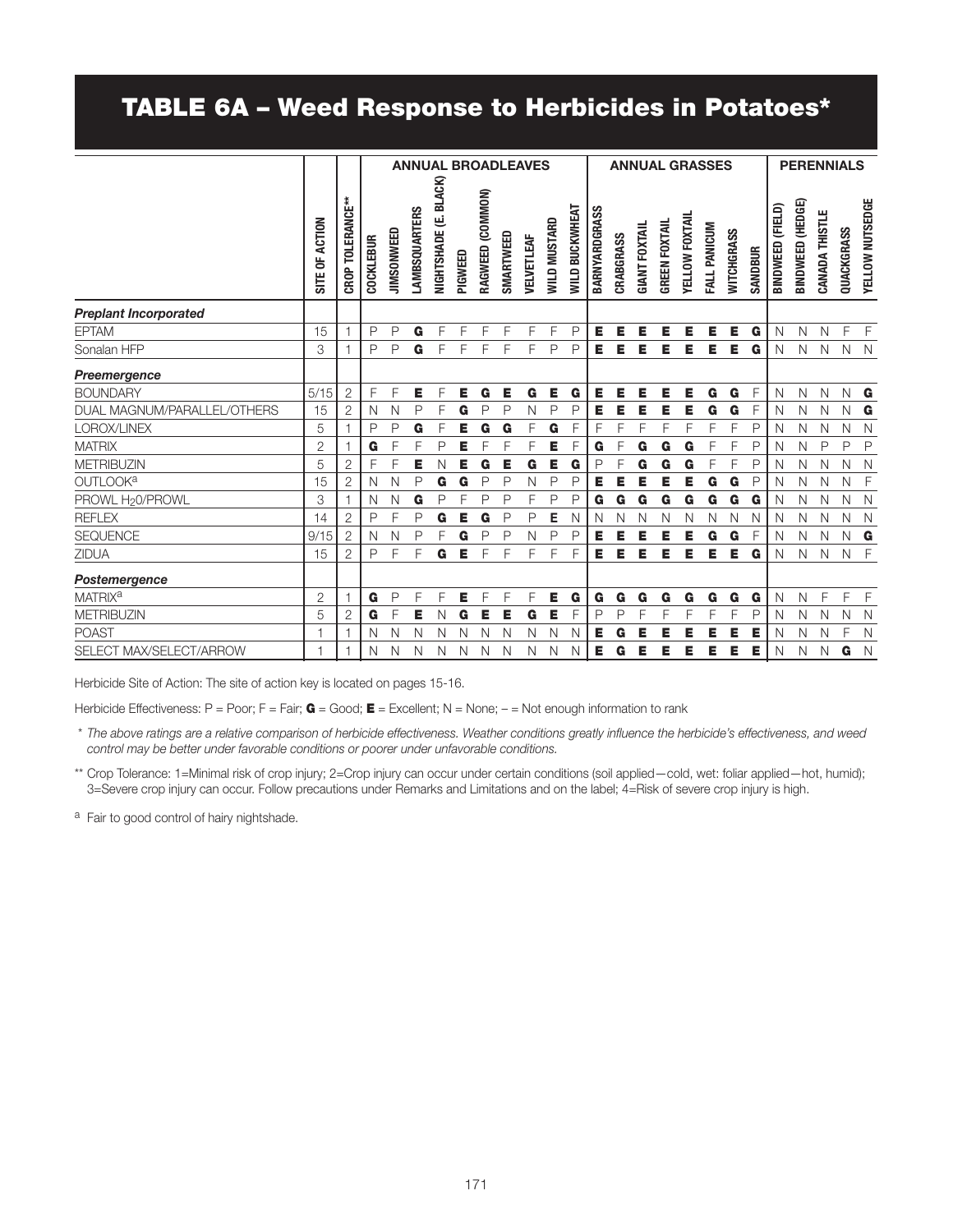## TABLE 6A – Weed Response to Herbicides in Potatoes\*

|                              | <b>ANNUAL BROADLEAVES</b>  |                  |                  |              |                      |                       |         |                  | <b>ANNUAL GRASSES</b> |            |                            |                |               |           |                      | <b>PERENNIALS</b>    |                |              |            |         |                  |                  |                |              |                 |
|------------------------------|----------------------------|------------------|------------------|--------------|----------------------|-----------------------|---------|------------------|-----------------------|------------|----------------------------|----------------|---------------|-----------|----------------------|----------------------|----------------|--------------|------------|---------|------------------|------------------|----------------|--------------|-----------------|
|                              | ACTION<br>¥<br><b>SITE</b> | CROP TOLERANCE** | <b>COCKLEBUR</b> | JIMSONWEED   | <b>LAMBSQUARTERS</b> | NIGHTSHADE (E. BLACK) | PIGWEED | RAGWEED (COMMON) | SMARTWEED             | VELVETLEAF | <b><i>NILD MUSTARD</i></b> | WILD BUCKWHEAT | BARNYARDGRASS | CRABGRASS | <b>GIANT FOXTAIL</b> | <b>GREEN FOXTAIL</b> | YELLOW FOXTAIL | FALL PANICUM | WITCHGRASS | SANDBUR | BINDWEED (FIELD) | BINDWEED (HEDGE) | CANADA THISTLE | QUACKGRASS   | YELLOW NUTSEDGE |
| <b>Preplant Incorporated</b> |                            |                  |                  |              |                      |                       |         |                  |                       |            |                            |                |               |           |                      |                      |                |              |            |         |                  |                  |                |              |                 |
| <b>EPTAM</b>                 | 15                         | Ĭ,               | P                | P            | G                    | F                     | F       | F                | F                     | F          | F                          | $\mathsf{P}$   | Е             | Е         | Е                    | Е                    | Е              | Е            | Е          | G       | N                | N                | N              | F            | F.              |
| Sonalan HFP                  | 3                          | f                | P                | P            | G                    | F                     | F       | F                | F                     | F          | P                          | $\mathsf{P}$   | Е             | Е         | Е                    | Е                    | Е              | Е            | Е          | G       | N                | N                | N              | $\mathsf{N}$ | $\mathbb N$     |
| Preemergence                 |                            |                  |                  |              |                      |                       |         |                  |                       |            |                            |                |               |           |                      |                      |                |              |            |         |                  |                  |                |              |                 |
| <b>BOUNDARY</b>              | 5/15                       | $\overline{2}$   | F                | F            | Е                    | F                     | Е       | G                | Е                     | G          | Е                          | G              | Е             | Е         | Е                    | Е                    | Е              | G            | G          | F       | N                | N                | N              | N            | G               |
| DUAL MAGNUM/PARALLEL/OTHERS  | 15                         | $\overline{2}$   | N                | N            | Ρ                    | F                     | G       | P                | P                     | Ν          | P                          | P              | Е             | Е         | Е                    | Е                    | E              | G            | G          | F       | N                | Ν                | Ν              | N            | G               |
| LOROX/LINEX                  | 5                          | f                | P                | $\mathsf{P}$ | G                    | E                     | Е       | G                | G                     | F          | G                          | F              | F             | F         | F                    | F                    | F              | F            | F          | P       | N                | N                | N              | N            | $\mathbb N$     |
| <b>MATRIX</b>                | $\overline{2}$             |                  | G                | F            | F                    | P                     | Е       | F                | F                     | F          | Е                          | F              | G             | F         | G                    | G                    | G              | F            | F          | P       | N                | N                | P              | P            | $\mathsf{P}$    |
| <b>METRIBUZIN</b>            | 5                          | $\overline{2}$   | F                | F            | Е                    | Ν                     | Е       | G                | Е                     | G          | Е                          | G              | $\mathsf{P}$  | F         | G                    | G                    | G              | F            | F          | P       | N                | N                | N              | N            | N               |
| OUTLOOK <sup>a</sup>         | 15                         | $\overline{2}$   | Ν                | $\mathsf{N}$ | P                    | G                     | G       | P                | P                     | N          | P                          | P              | Е             | Е         | Е                    | Е                    | Е              | G            | G          | P       | N                | N                | N              | N            | $\overline{F}$  |
| PROWL H <sub>2</sub> 0/PROWL | 3                          |                  | Ν                | N            | G                    | P                     | F       | P                | P                     | F          | P                          | P              | G             | G         | G                    | G                    | G              | G            | G          | G       | N                | N                | N              | N            | $\mathbb N$     |
| <b>REFLEX</b>                | 14                         | $\overline{2}$   | P                | F            | P                    | G                     | E       | G                | P                     | P          | E                          | N              | N             | N         | N                    | Ν                    | N              | N            | N          | N       | N                | N                | N              | N            | $\mathbb N$     |
| <b>SEQUENCE</b>              | 9/15                       | $\overline{2}$   | $\mathsf{N}$     | N            | P                    | F                     | G       | P                | P                     | N          | P                          | P              | Е             | Е         | Е                    | Е                    | Е              | G            | G          | F       | N                | $\mathsf{N}$     | N              | N            | G               |
| <b>ZIDUA</b>                 | 15                         | $\overline{2}$   | P                | F            | F                    | G                     | Е       | F                | F                     | F          | F                          | F              | Е             | Е         | Е                    | Е                    | Е              | Е            | Е          | G       | N                | N                | N              | N            | - F             |
| Postemergence                |                            |                  |                  |              |                      |                       |         |                  |                       |            |                            |                |               |           |                      |                      |                |              |            |         |                  |                  |                |              |                 |
| <b>MATRIX<sup>a</sup></b>    | $\overline{2}$             | $\overline{1}$   | G                | $\mathsf{P}$ | F                    | F                     | Е       | F                | F                     | F          | Е                          | G              | G             | G         | G                    | G                    | G              | G            | G          | G       | N                | N                | F              | F            | $\mathsf{F}$    |
| <b>METRIBUZIN</b>            | 5                          | $\overline{2}$   | G                | F            | Е                    | N                     | G       | Е                | Е                     | G          | E                          | F              | P             | P         | F                    | F                    | F              | F            | F          | P       | N                | N                | N              | N            | $\mathbb N$     |
| <b>POAST</b>                 |                            | f.               | Ν                | N            | Ν                    | N                     | N       | N                | N                     | N          | N                          | N              | Е             | G         | Е                    | Е                    | Е              | Е            | Е          | Е       | N                | N                | N              | F            | $\mathbb N$     |
| SELECT MAX/SELECT/ARROW      |                            | $\mathbf 1$      | Ν                | N            | Ν                    | N                     | N       | N                | N                     | N          | N                          | Ν              | Е             | G         | Е                    | Е                    | Е              | Е            | Е          | Е       | $\mathsf{N}$     | N                | N              | G            | $\mathbb N$     |

Herbicide Site of Action: The site of action key is located on pages 15-16.

Herbicide Effectiveness: P = Poor; F = Fair;  $G = Good; E = Excellent; N = None; - = Not enough information to rank$ 

 \* *The above ratings are a relative comparison of herbicide effectiveness. Weather conditions greatly influence the herbicide's effectiveness, and weed control may be better under favorable conditions or poorer under unfavorable conditions.*

\*\* Crop Tolerance: 1=Minimal risk of crop injury; 2=Crop injury can occur under certain conditions (soil applied—cold, wet: foliar applied—hot, humid); 3=Severe crop injury can occur. Follow precautions under Remarks and Limitations and on the label; 4=Risk of severe crop injury is high.

a Fair to good control of hairy nightshade.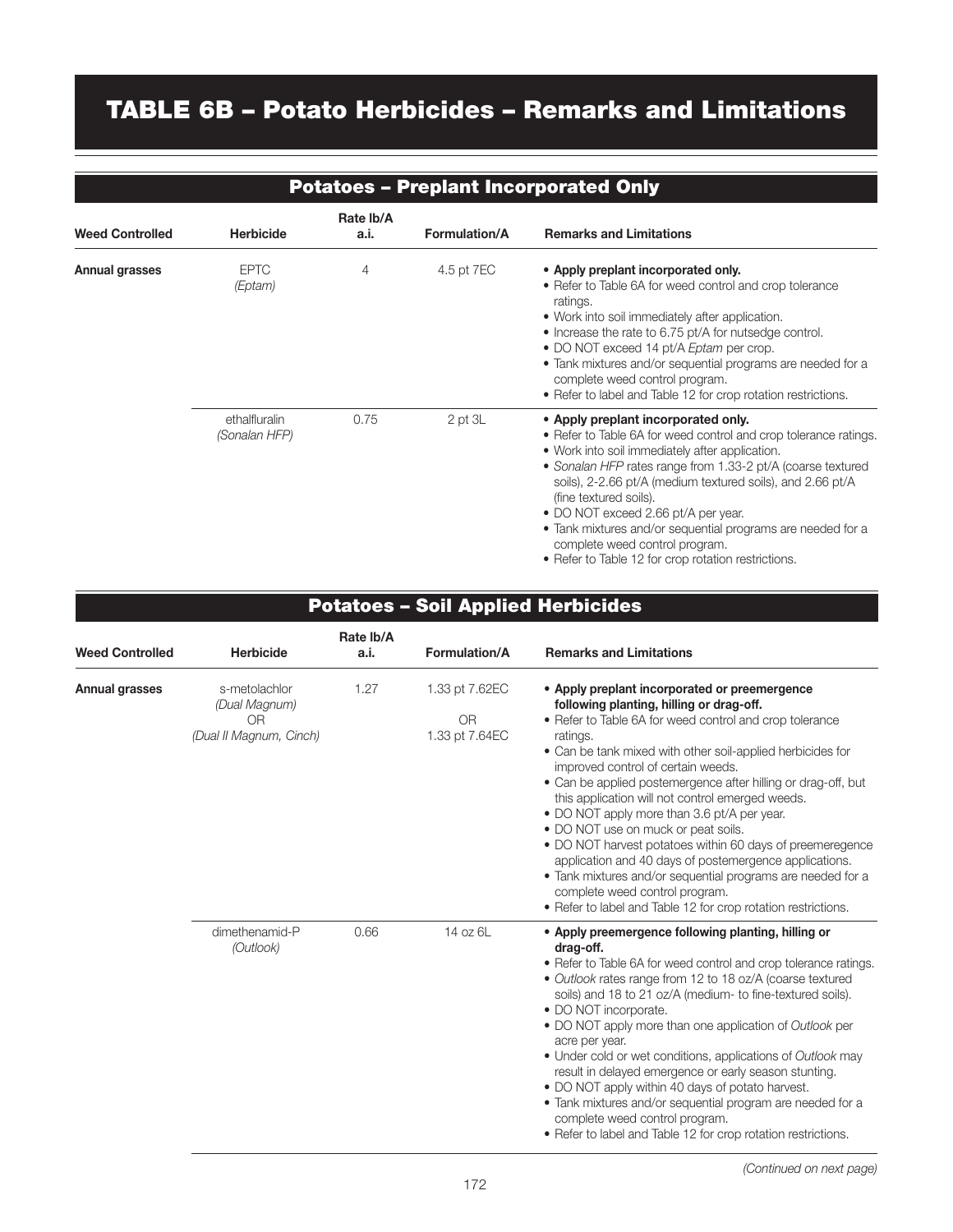## TABLE 6B – Potato Herbicides – Remarks and Limitations

|                        |                                |                   |                      | <b>Potatoes - Preplant Incorporated Only</b>                                                                                                                                                                                                                                                                                                                                                                                                                                                                     |
|------------------------|--------------------------------|-------------------|----------------------|------------------------------------------------------------------------------------------------------------------------------------------------------------------------------------------------------------------------------------------------------------------------------------------------------------------------------------------------------------------------------------------------------------------------------------------------------------------------------------------------------------------|
| <b>Weed Controlled</b> | <b>Herbicide</b>               | Rate Ib/A<br>a.i. | <b>Formulation/A</b> | <b>Remarks and Limitations</b>                                                                                                                                                                                                                                                                                                                                                                                                                                                                                   |
| Annual grasses         | <b>EPTC</b><br>(Eptam)         | 4                 | 4.5 pt 7EC           | • Apply preplant incorporated only.<br>• Refer to Table 6A for weed control and crop tolerance<br>ratings.<br>• Work into soil immediately after application.<br>• Increase the rate to 6.75 pt/A for nutsedge control.<br>• DO NOT exceed 14 pt/A Eptam per crop.<br>• Tank mixtures and/or sequential programs are needed for a<br>complete weed control program.<br>• Refer to label and Table 12 for crop rotation restrictions.                                                                             |
|                        | ethalfluralin<br>(Sonalan HFP) | 0.75              | $2$ pt $3L$          | • Apply preplant incorporated only.<br>• Refer to Table 6A for weed control and crop tolerance ratings.<br>• Work into soil immediately after application.<br>• Sonalan HFP rates range from 1.33-2 pt/A (coarse textured<br>soils), 2-2.66 pt/A (medium textured soils), and 2.66 pt/A<br>(fine textured soils).<br>• DO NOT exceed 2.66 pt/A per year.<br>• Tank mixtures and/or sequential programs are needed for a<br>complete weed control program.<br>• Refer to Table 12 for crop rotation restrictions. |

| <b>Potatoes - Soil Applied Herbicides</b> |                                                                             |                   |                                               |                                                                                                                                                                                                                                                                                                                                                                                                                                                                                                                                                                                                                                                                                                                                                                          |  |  |  |  |  |
|-------------------------------------------|-----------------------------------------------------------------------------|-------------------|-----------------------------------------------|--------------------------------------------------------------------------------------------------------------------------------------------------------------------------------------------------------------------------------------------------------------------------------------------------------------------------------------------------------------------------------------------------------------------------------------------------------------------------------------------------------------------------------------------------------------------------------------------------------------------------------------------------------------------------------------------------------------------------------------------------------------------------|--|--|--|--|--|
| <b>Weed Controlled</b>                    | <b>Herbicide</b>                                                            | Rate Ib/A<br>a.i. | <b>Formulation/A</b>                          | <b>Remarks and Limitations</b>                                                                                                                                                                                                                                                                                                                                                                                                                                                                                                                                                                                                                                                                                                                                           |  |  |  |  |  |
| Annual grasses                            | s-metolachlor<br>(Dual Magnum)<br>0 <sub>R</sub><br>(Dual II Magnum, Cinch) | 1.27              | 1.33 pt 7.62EC<br><b>OR</b><br>1.33 pt 7.64EC | • Apply preplant incorporated or preemergence<br>following planting, hilling or drag-off.<br>• Refer to Table 6A for weed control and crop tolerance<br>ratings.<br>• Can be tank mixed with other soil-applied herbicides for<br>improved control of certain weeds.<br>• Can be applied postemergence after hilling or drag-off, but<br>this application will not control emerged weeds.<br>• DO NOT apply more than 3.6 pt/A per year.<br>· DO NOT use on muck or peat soils.<br>• DO NOT harvest potatoes within 60 days of preemeregence<br>application and 40 days of postemergence applications.<br>· Tank mixtures and/or sequential programs are needed for a<br>complete weed control program.<br>• Refer to label and Table 12 for crop rotation restrictions. |  |  |  |  |  |
|                                           | dimethenamid-P<br>(Outlook)                                                 | 0.66              | 14 oz 6L                                      | • Apply preemergence following planting, hilling or<br>drag-off.<br>• Refer to Table 6A for weed control and crop tolerance ratings.<br>• Outlook rates range from 12 to 18 oz/A (coarse textured<br>soils) and 18 to 21 oz/A (medium- to fine-textured soils).<br>• DO NOT incorporate.<br>• DO NOT apply more than one application of Outlook per<br>acre per year.<br>• Under cold or wet conditions, applications of Outlook may<br>result in delayed emergence or early season stunting.<br>• DO NOT apply within 40 days of potato harvest.<br>• Tank mixtures and/or sequential program are needed for a<br>complete weed control program.<br>• Refer to label and Table 12 for crop rotation restrictions.                                                       |  |  |  |  |  |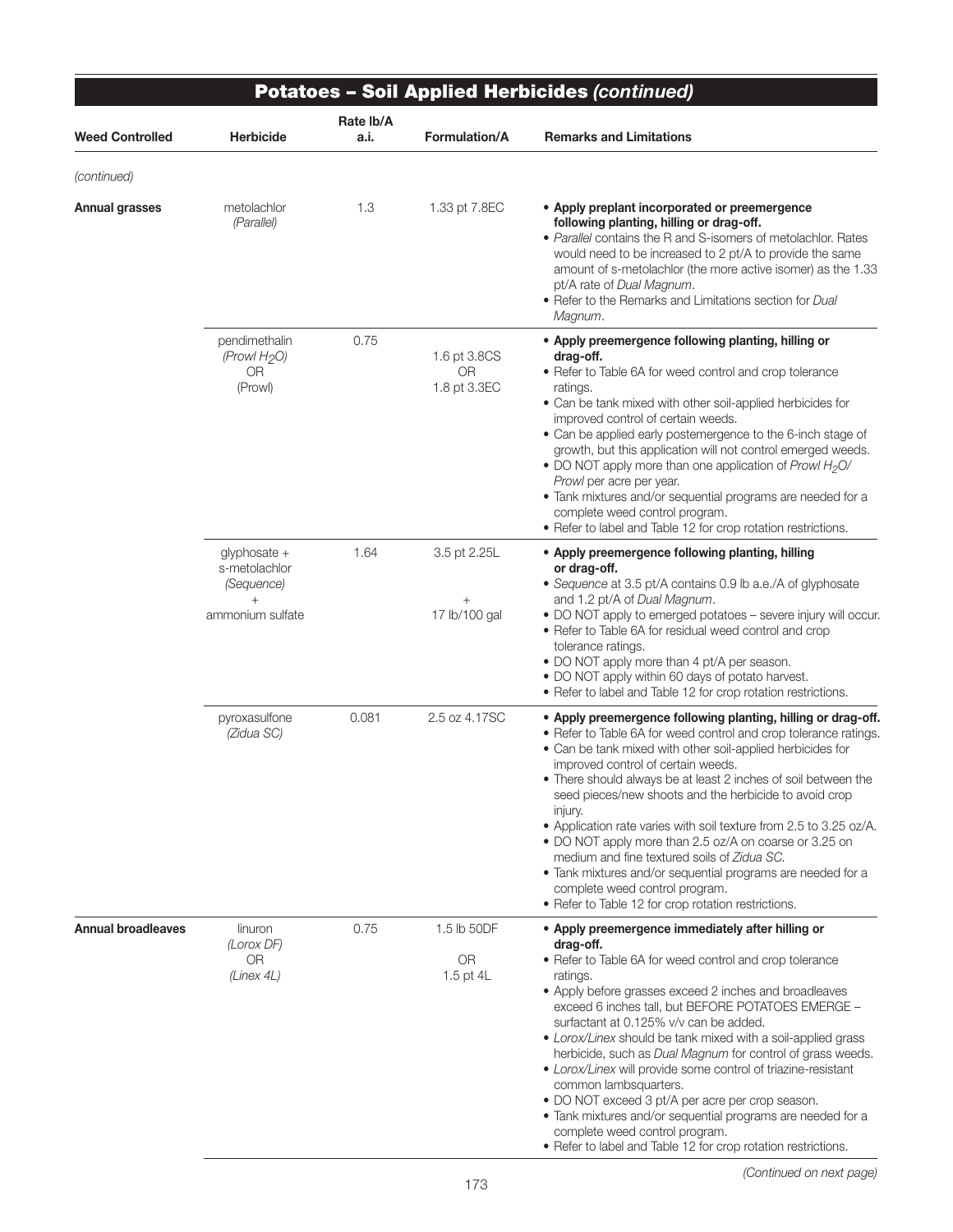|                           |                                                                    |                   |                                           | <b>Potatoes - Soil Applied Herbicides (continued)</b>                                                                                                                                                                                                                                                                                                                                                                                                                                                                                                                                                                                                                                                                                         |
|---------------------------|--------------------------------------------------------------------|-------------------|-------------------------------------------|-----------------------------------------------------------------------------------------------------------------------------------------------------------------------------------------------------------------------------------------------------------------------------------------------------------------------------------------------------------------------------------------------------------------------------------------------------------------------------------------------------------------------------------------------------------------------------------------------------------------------------------------------------------------------------------------------------------------------------------------------|
| <b>Weed Controlled</b>    | Herbicide                                                          | Rate lb/A<br>a.i. | <b>Formulation/A</b>                      | <b>Remarks and Limitations</b>                                                                                                                                                                                                                                                                                                                                                                                                                                                                                                                                                                                                                                                                                                                |
| (continued)               |                                                                    |                   |                                           |                                                                                                                                                                                                                                                                                                                                                                                                                                                                                                                                                                                                                                                                                                                                               |
| Annual grasses            | metolachlor<br>(Parallel)                                          | 1.3               | 1.33 pt 7.8EC                             | • Apply preplant incorporated or preemergence<br>following planting, hilling or drag-off.<br>• Parallel contains the R and S-isomers of metolachlor. Rates<br>would need to be increased to 2 pt/A to provide the same<br>amount of s-metolachlor (the more active isomer) as the 1.33<br>pt/A rate of Dual Magnum.<br>• Refer to the Remarks and Limitations section for Dual<br>Magnum.                                                                                                                                                                                                                                                                                                                                                     |
|                           | pendimethalin<br>(Prowl H <sub>2</sub> O)<br>0R<br>(Prowl)         | 0.75              | 1.6 pt 3.8CS<br><b>OR</b><br>1.8 pt 3.3EC | • Apply preemergence following planting, hilling or<br>drag-off.<br>• Refer to Table 6A for weed control and crop tolerance<br>ratings.<br>• Can be tank mixed with other soil-applied herbicides for<br>improved control of certain weeds.<br>• Can be applied early postemergence to the 6-inch stage of<br>growth, but this application will not control emerged weeds.<br>• DO NOT apply more than one application of Prowl H <sub>2</sub> O/<br>Prowl per acre per year.<br>• Tank mixtures and/or sequential programs are needed for a<br>complete weed control program.<br>• Refer to label and Table 12 for crop rotation restrictions.                                                                                               |
|                           | $q$ lyphosate +<br>s-metolachlor<br>(Sequence)<br>ammonium sulfate | 1.64              | 3.5 pt 2.25L<br>$^+$<br>17 lb/100 gal     | • Apply preemergence following planting, hilling<br>or drag-off.<br>• Sequence at 3.5 pt/A contains 0.9 lb a.e./A of glyphosate<br>and 1.2 pt/A of Dual Magnum.<br>• DO NOT apply to emerged potatoes - severe injury will occur.<br>• Refer to Table 6A for residual weed control and crop<br>tolerance ratings.<br>• DO NOT apply more than 4 pt/A per season.                                                                                                                                                                                                                                                                                                                                                                              |
|                           |                                                                    |                   |                                           | • DO NOT apply within 60 days of potato harvest.<br>• Refer to label and Table 12 for crop rotation restrictions.                                                                                                                                                                                                                                                                                                                                                                                                                                                                                                                                                                                                                             |
|                           | pyroxasulfone<br>(Zidua SC)                                        | 0.081             | 2.5 oz 4.17SC                             | • Apply preemergence following planting, hilling or drag-off.<br>• Refer to Table 6A for weed control and crop tolerance ratings.<br>• Can be tank mixed with other soil-applied herbicides for<br>improved control of certain weeds.<br>. There should always be at least 2 inches of soil between the<br>seed pieces/new shoots and the herbicide to avoid crop<br>injury.<br>• Application rate varies with soil texture from 2.5 to 3.25 oz/A.<br>• DO NOT apply more than 2.5 oz/A on coarse or 3.25 on<br>medium and fine textured soils of Zidua SC.<br>• Tank mixtures and/or sequential programs are needed for a<br>complete weed control program.<br>• Refer to Table 12 for crop rotation restrictions.                           |
| <b>Annual broadleaves</b> | linuron<br>(Lorox DF)<br><b>OR</b><br>(Linex 4L)                   | 0.75              | 1.5 lb 50DF<br><b>OR</b><br>1.5 pt 4L     | • Apply preemergence immediately after hilling or<br>drag-off.<br>• Refer to Table 6A for weed control and crop tolerance<br>ratings.<br>• Apply before grasses exceed 2 inches and broadleaves<br>exceed 6 inches tall, but BEFORE POTATOES EMERGE -<br>surfactant at 0.125% v/v can be added.<br>• Lorox/Linex should be tank mixed with a soil-applied grass<br>herbicide, such as Dual Magnum for control of grass weeds.<br>• Lorox/Linex will provide some control of triazine-resistant<br>common lambsquarters.<br>• DO NOT exceed 3 pt/A per acre per crop season.<br>• Tank mixtures and/or sequential programs are needed for a<br>complete weed control program.<br>• Refer to label and Table 12 for crop rotation restrictions. |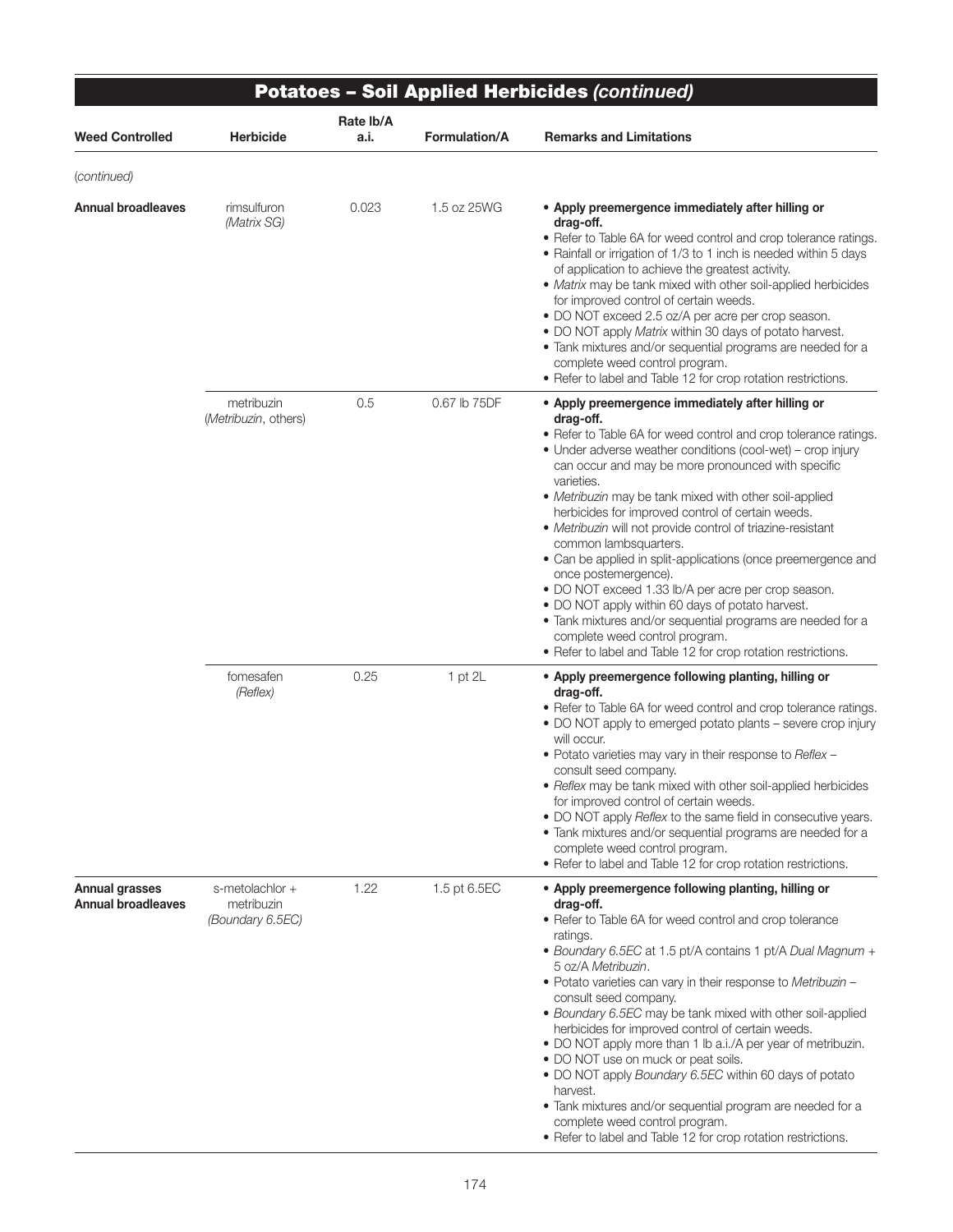|                                                    |                                                   |                   |                      | <b>Potatoes - Soil Applied Herbicides (continued)</b>                                                                                                                                                                                                                                                                                                                                                                                                                                                                                                                                                                                                                                                                                                                                                                                              |
|----------------------------------------------------|---------------------------------------------------|-------------------|----------------------|----------------------------------------------------------------------------------------------------------------------------------------------------------------------------------------------------------------------------------------------------------------------------------------------------------------------------------------------------------------------------------------------------------------------------------------------------------------------------------------------------------------------------------------------------------------------------------------------------------------------------------------------------------------------------------------------------------------------------------------------------------------------------------------------------------------------------------------------------|
| <b>Weed Controlled</b>                             | <b>Herbicide</b>                                  | Rate lb/A<br>a.i. | <b>Formulation/A</b> | <b>Remarks and Limitations</b>                                                                                                                                                                                                                                                                                                                                                                                                                                                                                                                                                                                                                                                                                                                                                                                                                     |
| (continued)                                        |                                                   |                   |                      |                                                                                                                                                                                                                                                                                                                                                                                                                                                                                                                                                                                                                                                                                                                                                                                                                                                    |
| <b>Annual broadleaves</b>                          | rimsulfuron<br>(Matrix SG)                        | 0.023             | 1.5 oz 25WG          | • Apply preemergence immediately after hilling or<br>drag-off.<br>• Refer to Table 6A for weed control and crop tolerance ratings.<br>• Rainfall or irrigation of 1/3 to 1 inch is needed within 5 days<br>of application to achieve the greatest activity.<br>• Matrix may be tank mixed with other soil-applied herbicides<br>for improved control of certain weeds.<br>· DO NOT exceed 2.5 oz/A per acre per crop season.<br>. DO NOT apply Matrix within 30 days of potato harvest.<br>• Tank mixtures and/or sequential programs are needed for a<br>complete weed control program.<br>• Refer to label and Table 12 for crop rotation restrictions.                                                                                                                                                                                          |
|                                                    | metribuzin<br>(Metribuzin, others)                | 0.5               | 0.67 lb 75DF         | • Apply preemergence immediately after hilling or<br>drag-off.<br>• Refer to Table 6A for weed control and crop tolerance ratings.<br>• Under adverse weather conditions (cool-wet) – crop injury<br>can occur and may be more pronounced with specific<br>varieties.<br>• Metribuzin may be tank mixed with other soil-applied<br>herbicides for improved control of certain weeds.<br>· Metribuzin will not provide control of triazine-resistant<br>common lambsquarters.<br>• Can be applied in split-applications (once preemergence and<br>once postemergence).<br>• DO NOT exceed 1.33 lb/A per acre per crop season.<br>• DO NOT apply within 60 days of potato harvest.<br>• Tank mixtures and/or sequential programs are needed for a<br>complete weed control program.<br>• Refer to label and Table 12 for crop rotation restrictions. |
|                                                    | fomesafen<br>(Reflex)                             | 0.25              | $1$ pt $2L$          | • Apply preemergence following planting, hilling or<br>drag-off.<br>• Refer to Table 6A for weed control and crop tolerance ratings.<br>• DO NOT apply to emerged potato plants – severe crop injury<br>will occur.<br>. Potato varieties may vary in their response to Reflex -<br>consult seed company.<br>• Reflex may be tank mixed with other soil-applied herbicides<br>for improved control of certain weeds.<br>• DO NOT apply Reflex to the same field in consecutive years.<br>• Tank mixtures and/or sequential programs are needed for a<br>complete weed control program.<br>• Refer to label and Table 12 for crop rotation restrictions.                                                                                                                                                                                            |
| <b>Annual grasses</b><br><b>Annual broadleaves</b> | s-metolachlor +<br>metribuzin<br>(Boundary 6.5EC) | 1.22              | 1.5 pt 6.5EC         | • Apply preemergence following planting, hilling or<br>drag-off.<br>• Refer to Table 6A for weed control and crop tolerance<br>ratings.<br>• Boundary 6.5EC at 1.5 pt/A contains 1 pt/A Dual Magnum +<br>5 oz/A Metribuzin.<br>. Potato varieties can vary in their response to Metribuzin -<br>consult seed company.<br>· Boundary 6.5EC may be tank mixed with other soil-applied<br>herbicides for improved control of certain weeds.<br>• DO NOT apply more than 1 lb a.i./A per year of metribuzin.<br>• DO NOT use on muck or peat soils.<br>. DO NOT apply Boundary 6.5EC within 60 days of potato<br>harvest.<br>· Tank mixtures and/or sequential program are needed for a<br>complete weed control program.                                                                                                                              |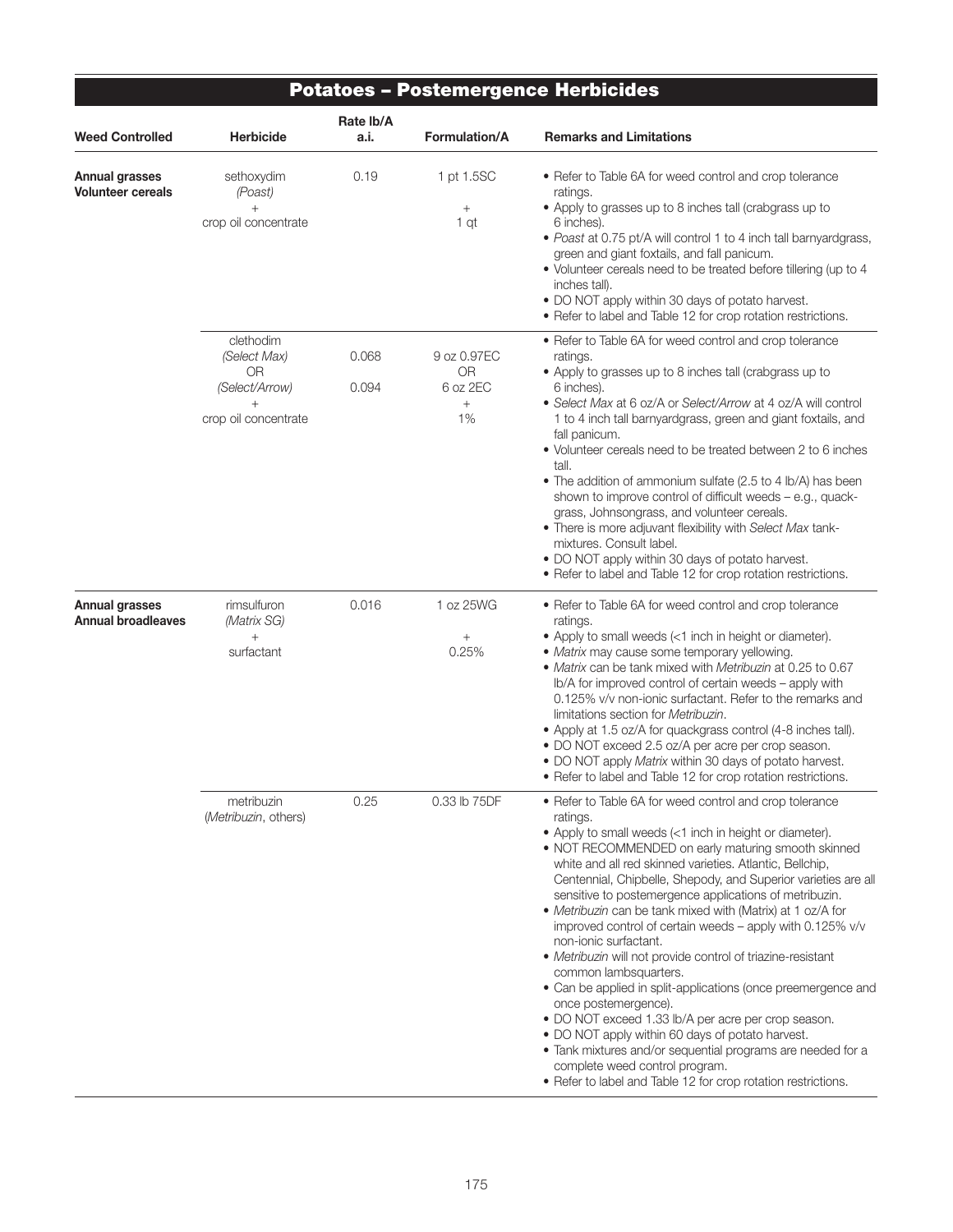|                                                    |                                                                                     |                   |                                                   | <b>Potatoes - Postemergence Herbicides</b>                                                                                                                                                                                                                                                                                                                                                                                                                                                                                                                                                                                                                                                                                                                                                                                                                                                                                                                                                     |
|----------------------------------------------------|-------------------------------------------------------------------------------------|-------------------|---------------------------------------------------|------------------------------------------------------------------------------------------------------------------------------------------------------------------------------------------------------------------------------------------------------------------------------------------------------------------------------------------------------------------------------------------------------------------------------------------------------------------------------------------------------------------------------------------------------------------------------------------------------------------------------------------------------------------------------------------------------------------------------------------------------------------------------------------------------------------------------------------------------------------------------------------------------------------------------------------------------------------------------------------------|
| <b>Weed Controlled</b>                             | Herbicide                                                                           | Rate lb/A<br>a.i. | <b>Formulation/A</b>                              | <b>Remarks and Limitations</b>                                                                                                                                                                                                                                                                                                                                                                                                                                                                                                                                                                                                                                                                                                                                                                                                                                                                                                                                                                 |
| <b>Annual grasses</b><br><b>Volunteer cereals</b>  | sethoxydim<br>(Poast)<br>crop oil concentrate                                       | 0.19              | 1 pt 1.5SC<br>$\! + \!\!\!\!$<br>1 qt             | • Refer to Table 6A for weed control and crop tolerance<br>ratings.<br>• Apply to grasses up to 8 inches tall (crabgrass up to<br>6 inches).<br>• Poast at 0.75 pt/A will control 1 to 4 inch tall barnyardgrass,<br>green and giant foxtails, and fall panicum.<br>• Volunteer cereals need to be treated before tillering (up to 4<br>inches tall).<br>• DO NOT apply within 30 days of potato harvest.<br>• Refer to label and Table 12 for crop rotation restrictions.                                                                                                                                                                                                                                                                                                                                                                                                                                                                                                                     |
|                                                    | clethodim<br>(Select Max)<br>0R<br>(Select/Arrow)<br>$^{+}$<br>crop oil concentrate | 0.068<br>0.094    | 9 oz 0.97EC<br><b>OR</b><br>6 oz 2EC<br>$+$<br>1% | • Refer to Table 6A for weed control and crop tolerance<br>ratings.<br>• Apply to grasses up to 8 inches tall (crabgrass up to<br>6 inches).<br>• Select Max at 6 oz/A or Select/Arrow at 4 oz/A will control<br>1 to 4 inch tall barnyardgrass, green and giant foxtails, and<br>fall panicum.<br>• Volunteer cereals need to be treated between 2 to 6 inches<br>tall.<br>• The addition of ammonium sulfate (2.5 to 4 lb/A) has been<br>shown to improve control of difficult weeds - e.g., quack-<br>grass, Johnsongrass, and volunteer cereals.<br>• There is more adjuvant flexibility with Select Max tank-<br>mixtures. Consult label.<br>. DO NOT apply within 30 days of potato harvest.<br>• Refer to label and Table 12 for crop rotation restrictions.                                                                                                                                                                                                                            |
| <b>Annual grasses</b><br><b>Annual broadleaves</b> | rimsulfuron<br>(Matrix SG)<br>$^{+}$<br>surfactant                                  | 0.016             | 1 oz 25WG<br>$^{+}$<br>0.25%                      | • Refer to Table 6A for weed control and crop tolerance<br>ratings.<br>• Apply to small weeds (<1 inch in height or diameter).<br>• Matrix may cause some temporary yellowing.<br>• Matrix can be tank mixed with Metribuzin at 0.25 to 0.67<br>Ib/A for improved control of certain weeds – apply with<br>0.125% v/v non-ionic surfactant. Refer to the remarks and<br>limitations section for Metribuzin.<br>• Apply at 1.5 oz/A for quackgrass control (4-8 inches tall).<br>• DO NOT exceed 2.5 oz/A per acre per crop season.<br>• DO NOT apply Matrix within 30 days of potato harvest.<br>• Refer to label and Table 12 for crop rotation restrictions.                                                                                                                                                                                                                                                                                                                                 |
|                                                    | metribuzin<br>(Metribuzin, others)                                                  | 0.25              | 0.33 lb 75DF                                      | • Refer to Table 6A for weed control and crop tolerance<br>ratings.<br>• Apply to small weeds (<1 inch in height or diameter).<br>• NOT RECOMMENDED on early maturing smooth skinned<br>white and all red skinned varieties. Atlantic, Bellchip,<br>Centennial, Chipbelle, Shepody, and Superior varieties are all<br>sensitive to postemergence applications of metribuzin.<br>• Metribuzin can be tank mixed with (Matrix) at 1 oz/A for<br>improved control of certain weeds - apply with 0.125% v/v<br>non-ionic surfactant.<br>• Metribuzin will not provide control of triazine-resistant<br>common lambsquarters.<br>• Can be applied in split-applications (once preemergence and<br>once postemergence).<br>• DO NOT exceed 1.33 lb/A per acre per crop season.<br>• DO NOT apply within 60 days of potato harvest.<br>• Tank mixtures and/or sequential programs are needed for a<br>complete weed control program.<br>• Refer to label and Table 12 for crop rotation restrictions. |

⋾